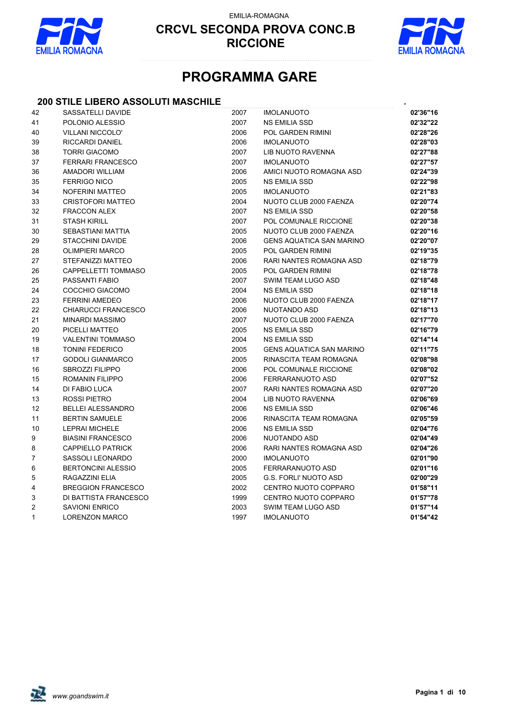

EMILIA-ROMAGNA



# **PROGRAMMA GARE**

### **200 STILE LIBERO ASSOLUTI MASCHILE** *.*

| 42             | SASSATELLI DAVIDE         | 2007 | <b>IMOLANUOTO</b>               | 02'36"16 |
|----------------|---------------------------|------|---------------------------------|----------|
| 41             | POLONIO ALESSIO           | 2007 | NS EMILIA SSD                   | 02'32"22 |
| 40             | <b>VILLANI NICCOLO'</b>   | 2006 | POL GARDEN RIMINI               | 02'28"26 |
| 39             | <b>RICCARDI DANIEL</b>    | 2006 | <b>IMOLANUOTO</b>               | 02'28"03 |
| 38             | <b>TORRI GIACOMO</b>      | 2007 | LIB NUOTO RAVENNA               | 02'27"88 |
| 37             | <b>FERRARI FRANCESCO</b>  | 2007 | <b>IMOLANUOTO</b>               | 02'27"57 |
| 36             | <b>AMADORI WILLIAM</b>    | 2006 | AMICI NUOTO ROMAGNA ASD         | 02'24"39 |
| 35             | <b>FERRIGO NICO</b>       | 2005 | <b>NS EMILIA SSD</b>            | 02'22"98 |
| 34             | NOFERINI MATTEO           | 2005 | <b>IMOLANUOTO</b>               | 02'21"83 |
| 33             | <b>CRISTOFORI MATTEO</b>  | 2004 | NUOTO CLUB 2000 FAENZA          | 02'20"74 |
| 32             | <b>FRACCON ALEX</b>       | 2007 | <b>NS EMILIA SSD</b>            | 02'20"58 |
| 31             | <b>STASH KIRILL</b>       | 2007 | POL COMUNALE RICCIONE           | 02'20"38 |
| 30             | <b>SEBASTIANI MATTIA</b>  | 2005 | NUOTO CLUB 2000 FAENZA          | 02'20"16 |
| 29             | <b>STACCHINI DAVIDE</b>   | 2006 | <b>GENS AQUATICA SAN MARINO</b> | 02'20"07 |
| 28             | <b>OLIMPIERI MARCO</b>    | 2005 | <b>POL GARDEN RIMINI</b>        | 02'19"35 |
| 27             | STEFANIZZI MATTEO         | 2006 | RARI NANTES ROMAGNA ASD         | 02'18"79 |
| 26             | CAPPELLETTI TOMMASO       | 2005 | <b>POL GARDEN RIMINI</b>        | 02'18"78 |
| 25             | PASSANTI FABIO            | 2007 | SWIM TEAM LUGO ASD              | 02'18"48 |
| 24             | COCCHIO GIACOMO           | 2004 | <b>NS EMILIA SSD</b>            | 02'18"18 |
| 23             | <b>FERRINI AMEDEO</b>     | 2006 | NUOTO CLUB 2000 FAENZA          | 02'18"17 |
| 22             | CHIARUCCI FRANCESCO       | 2006 | <b>NUOTANDO ASD</b>             | 02'18"13 |
| 21             | <b>MINARDI MASSIMO</b>    | 2007 | NUOTO CLUB 2000 FAENZA          | 02'17"70 |
| 20             | PICELLI MATTEO            | 2005 | <b>NS EMILIA SSD</b>            | 02'16"79 |
| 19             | <b>VALENTINI TOMMASO</b>  | 2004 | <b>NS EMILIA SSD</b>            | 02'14"14 |
| 18             | <b>TONINI FEDERICO</b>    | 2005 | <b>GENS AQUATICA SAN MARINO</b> | 02'11"75 |
| 17             | <b>GODOLI GIANMARCO</b>   | 2005 | RINASCITA TEAM ROMAGNA          | 02'08"98 |
| 16             | <b>SBROZZI FILIPPO</b>    | 2006 | POL COMUNALE RICCIONE           | 02'08"02 |
| 15             | ROMANIN FILIPPO           | 2006 | FERRARANUOTO ASD                | 02'07"52 |
| 14             | DI FABIO LUCA             | 2007 | RARI NANTES ROMAGNA ASD         | 02'07"20 |
| 13             | ROSSI PIETRO              | 2004 | <b>LIB NUOTO RAVENNA</b>        | 02'06"69 |
| 12             | <b>BELLEI ALESSANDRO</b>  | 2006 | <b>NS EMILIA SSD</b>            | 02'06"46 |
| 11             | <b>BERTIN SAMUELE</b>     | 2006 | RINASCITA TEAM ROMAGNA          | 02'05"59 |
| 10             | <b>LEPRAI MICHELE</b>     | 2006 | <b>NS EMILIA SSD</b>            | 02'04"76 |
| 9              | <b>BIASINI FRANCESCO</b>  | 2006 | NUOTANDO ASD                    | 02'04"49 |
| 8              | <b>CAPPIELLO PATRICK</b>  | 2006 | <b>RARI NANTES ROMAGNA ASD</b>  | 02'04"26 |
| $\overline{7}$ | SASSOLI LEONARDO          | 2000 | <b>IMOLANUOTO</b>               | 02'01"90 |
| 6              | <b>BERTONCINI ALESSIO</b> | 2005 | FERRARANUOTO ASD                | 02'01"16 |
| 5              | RAGAZZINI ELIA            | 2005 | <b>G.S. FORLI' NUOTO ASD</b>    | 02'00"29 |
| 4              | <b>BREGGION FRANCESCO</b> | 2002 | CENTRO NUOTO COPPARO            | 01'58"11 |
| 3              | DI BATTISTA FRANCESCO     | 1999 | CENTRO NUOTO COPPARO            | 01'57"78 |
| 2              | <b>SAVIONI ENRICO</b>     | 2003 | SWIM TEAM LUGO ASD              | 01'57"14 |
| 1              | <b>LORENZON MARCO</b>     | 1997 | <b>IMOLANUOTO</b>               | 01'54"42 |
|                |                           |      |                                 |          |

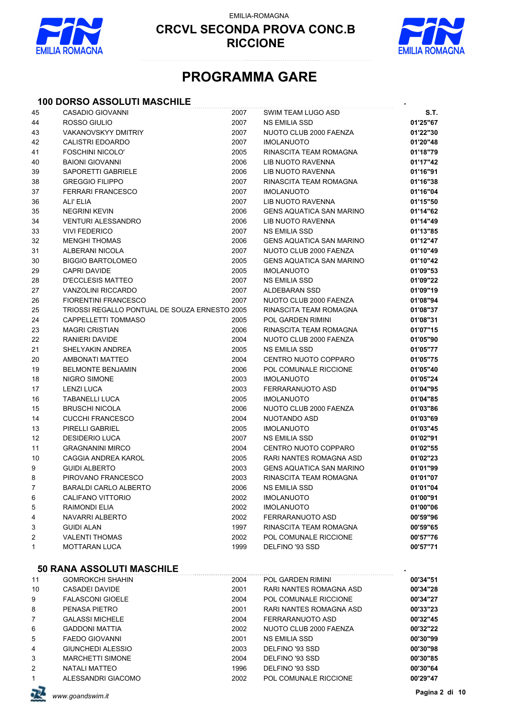

EMILIA-ROMAGNA



# **PROGRAMMA GARE**

### **100 DORSO ASSOLUTI MASCHILE** *.*

| 45 | CASADIO GIOVANNI                              | 2007 | SWIM TEAM LUGO ASD                                  | S.T.     |
|----|-----------------------------------------------|------|-----------------------------------------------------|----------|
| 44 | ROSSO GIULIO                                  | 2007 | <b>NS EMILIA SSD</b>                                | 01'25"67 |
| 43 | <b>VAKANOVSKYY DMITRIY</b>                    | 2007 | NUOTO CLUB 2000 FAENZA                              | 01'22"30 |
| 42 | <b>CALISTRI EDOARDO</b>                       | 2007 | <b>IMOLANUOTO</b>                                   | 01'20"48 |
| 41 | FOSCHINI NICOLO'                              | 2005 | RINASCITA TEAM ROMAGNA                              | 01'18"79 |
| 40 | <b>BAIONI GIOVANNI</b>                        | 2006 | <b>LIB NUOTO RAVENNA</b>                            | 01'17"42 |
| 39 | SAPORETTI GABRIELE                            | 2006 | <b>LIB NUOTO RAVENNA</b>                            | 01'16"91 |
| 38 | <b>GREGGIO FILIPPO</b>                        | 2007 | RINASCITA TEAM ROMAGNA                              | 01'16"38 |
| 37 | FERRARI FRANCESCO                             | 2007 | <b>IMOLANUOTO</b>                                   | 01'16"04 |
| 36 | ALI' ELIA                                     | 2007 | LIB NUOTO RAVENNA                                   | 01'15"50 |
| 35 | <b>NEGRINI KEVIN</b>                          | 2006 | <b>GENS AQUATICA SAN MARINO</b>                     | 01'14"62 |
| 34 | <b>VENTURI ALESSANDRO</b>                     | 2006 | LIB NUOTO RAVENNA                                   | 01'14"49 |
| 33 | <b>VIVI FEDERICO</b>                          | 2007 | <b>NS EMILIA SSD</b>                                | 01'13"85 |
| 32 | <b>MENGHI THOMAS</b>                          | 2006 | <b>GENS AQUATICA SAN MARINO</b>                     | 01'12"47 |
| 31 | ALBERANI NICOLA                               | 2007 | NUOTO CLUB 2000 FAENZA                              | 01'10"49 |
| 30 | <b>BIGGIO BARTOLOMEO</b>                      | 2005 | <b>GENS AQUATICA SAN MARINO</b>                     | 01'10"42 |
| 29 | <b>CAPRI DAVIDE</b>                           | 2005 | <b>IMOLANUOTO</b>                                   | 01'09"53 |
| 28 | D'ECCLESIS MATTEO                             | 2007 | NS EMILIA SSD                                       | 01'09"22 |
| 27 | <b>VANZOLINI RICCARDO</b>                     | 2007 | ALDEBARAN SSD                                       | 01'09"19 |
| 26 | <b>FIORENTINI FRANCESCO</b>                   | 2007 | NUOTO CLUB 2000 FAENZA                              | 01'08"94 |
| 25 | TRIOSSI REGALLO PONTUAL DE SOUZA ERNESTO 2005 |      | RINASCITA TEAM ROMAGNA                              | 01'08"37 |
| 24 | CAPPELLETTI TOMMASO                           | 2005 | <b>POL GARDEN RIMINI</b>                            | 01'08"31 |
| 23 | <b>MAGRI CRISTIAN</b>                         | 2006 | RINASCITA TEAM ROMAGNA                              | 01'07"15 |
| 22 | RANIERI DAVIDE                                | 2004 | NUOTO CLUB 2000 FAENZA                              | 01'05"90 |
| 21 | SHELYAKIN ANDREA                              | 2005 | NS EMILIA SSD                                       | 01'05"77 |
| 20 | AMBONATI MATTEO                               | 2004 | CENTRO NUOTO COPPARO                                | 01'05"75 |
| 19 | <b>BELMONTE BENJAMIN</b>                      | 2006 | POL COMUNALE RICCIONE                               | 01'05"40 |
| 18 | NIGRO SIMONE                                  | 2003 | <b>IMOLANUOTO</b>                                   | 01'05"24 |
| 17 | <b>LENZI LUCA</b>                             | 2003 | FERRARANUOTO ASD                                    | 01'04"95 |
| 16 | <b>TABANELLI LUCA</b>                         | 2005 | <b>IMOLANUOTO</b>                                   | 01'04"85 |
| 15 | <b>BRUSCHI NICOLA</b>                         | 2006 | NUOTO CLUB 2000 FAENZA                              | 01'03"86 |
| 14 | <b>CUCCHI FRANCESCO</b>                       | 2004 | NUOTANDO ASD                                        | 01'03"69 |
| 13 | PIRELLI GABRIEL                               | 2005 | <b>IMOLANUOTO</b>                                   | 01'03"45 |
| 12 | <b>DESIDERIO LUCA</b>                         | 2007 | NS EMILIA SSD                                       | 01'02"91 |
| 11 | <b>GRAGNANINI MIRCO</b>                       | 2004 | CENTRO NUOTO COPPARO                                | 01'02"55 |
| 10 | CAGGIA ANDREA KAROL                           | 2005 | RARI NANTES ROMAGNA ASD                             | 01'02"23 |
| 9  | <b>GUIDI ALBERTO</b>                          | 2003 | <b>GENS AQUATICA SAN MARINO</b>                     | 01'01"99 |
| 8  | PIROVANO FRANCESCO                            | 2003 | RINASCITA TEAM ROMAGNA                              | 01'01"07 |
| 7  | BARALDI CARLO ALBERTO                         | 2006 | NS EMILIA SSD                                       | 01'01"04 |
| 6  | CALIFANO VITTORIO                             | 2002 | <b>IMOLANUOTO</b>                                   | 01'00"91 |
| 5  | <b>RAIMONDI ELIA</b>                          | 2002 | <b>IMOLANUOTO</b>                                   | 01'00"06 |
| 4  | NAVARRI ALBERTO                               | 2002 | FERRARANUOTO ASD                                    | 00'59"96 |
| 3  | <b>GUIDI ALAN</b>                             | 1997 | RINASCITA TEAM ROMAGNA                              | 00'59"65 |
| 2  | <b>VALENTI THOMAS</b>                         | 2002 | POL COMUNALE RICCIONE                               | 00'57"76 |
| 1  | <b>MOTTARAN LUCA</b>                          | 1999 | DELFINO '93 SSD                                     | 00'57"71 |
|    |                                               |      |                                                     |          |
|    | <b>50 RANA ASSOLUTI MASCHILE</b>              |      |                                                     |          |
|    | <b>GOMROKCHI SHAHIN</b>                       |      |                                                     |          |
| 11 | <b>CASADEI DAVIDE</b>                         | 2004 | POL GARDEN RIMINI<br><b>RARI NANTES ROMAGNA ASD</b> | 00'34"51 |
| 10 |                                               | 2001 | POL COMUNALE RICCIONE                               | 00'34"28 |
| 9  | <b>FALASCONI GIOELE</b>                       | 2004 |                                                     | 00'34"27 |
| 8  | PENASA PIETRO                                 | 2001 | RARI NANTES ROMAGNA ASD                             | 00'33"23 |
| 7  | <b>GALASSI MICHELE</b>                        | 2004 | FERRARANUOTO ASD                                    | 00'32"45 |
| 6  | <b>GADDONI MATTIA</b>                         | 2002 | NUOTO CLUB 2000 FAENZA                              | 00'32"22 |
| 5  | <b>FAEDO GIOVANNI</b>                         | 2001 | <b>NS EMILIA SSD</b>                                | 00'30"99 |
| 4  | <b>GIUNCHEDI ALESSIO</b>                      | 2003 | DELFINO '93 SSD                                     | 00'30"98 |
| 3  | <b>MARCHETTI SIMONE</b>                       | 2004 | DELFINO '93 SSD                                     | 00'30"85 |
| 2  | NATALI MATTEO                                 | 1996 | DELFINO '93 SSD                                     | 00'30"64 |
| 1  | ALESSANDRI GIACOMO                            | 2002 | POL COMUNALE RICCIONE                               | 00'29"47 |

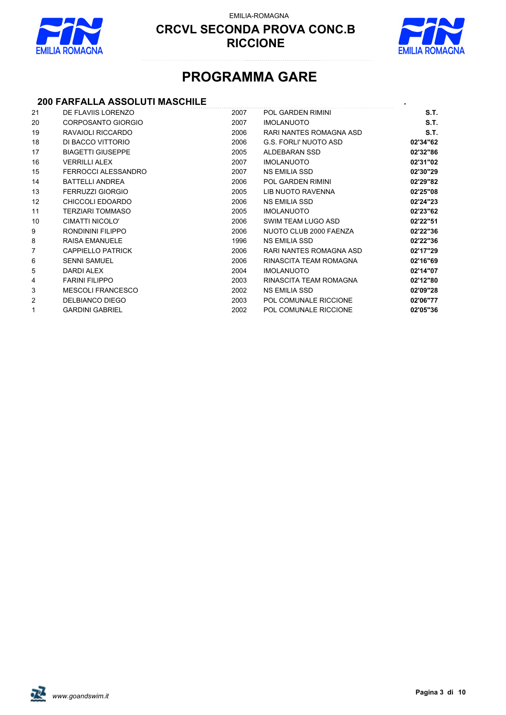

EMILIA-ROMAGNA



# **PROGRAMMA GARE**

### **200 FARFALLA ASSOLUTI MASCHILE** *.*

| 21                | DE FLAVIIS LORENZO        | 2007 | <b>POL GARDEN RIMINI</b>     | S.T.     |
|-------------------|---------------------------|------|------------------------------|----------|
| 20                | <b>CORPOSANTO GIORGIO</b> | 2007 | <b>IMOLANUOTO</b>            | S.T.     |
| 19                | RAVAIOLI RICCARDO         | 2006 | RARI NANTES ROMAGNA ASD      | S.T.     |
| 18                | DI BACCO VITTORIO         | 2006 | <b>G.S. FORLI' NUOTO ASD</b> | 02'34"62 |
| 17                | <b>BIAGETTI GIUSEPPE</b>  | 2005 | ALDEBARAN SSD                | 02'32"86 |
| 16                | <b>VERRILLI ALEX</b>      | 2007 | <b>IMOLANUOTO</b>            | 02'31"02 |
| 15                | FERROCCI ALESSANDRO       | 2007 | NS EMILIA SSD                | 02'30"29 |
| 14                | <b>BATTELLI ANDREA</b>    | 2006 | POL GARDEN RIMINI            | 02'29"82 |
| 13                | <b>FERRUZZI GIORGIO</b>   | 2005 | LIB NUOTO RAVENNA            | 02'25"08 |
| $12 \overline{ }$ | CHICCOLI EDOARDO          | 2006 | NS EMILIA SSD                | 02'24"23 |
| 11                | <b>TERZIARI TOMMASO</b>   | 2005 | <b>IMOLANUOTO</b>            | 02'23"62 |
| 10                | CIMATTI NICOLO'           | 2006 | SWIM TEAM LUGO ASD           | 02'22"51 |
| 9                 | RONDININI FILIPPO         | 2006 | NUOTO CLUB 2000 FAENZA       | 02'22"36 |
| 8                 | <b>RAISA EMANUELE</b>     | 1996 | <b>NS EMILIA SSD</b>         | 02'22"36 |
| 7                 | <b>CAPPIELLO PATRICK</b>  | 2006 | RARI NANTES ROMAGNA ASD      | 02'17"29 |
| 6                 | <b>SENNI SAMUEL</b>       | 2006 | RINASCITA TEAM ROMAGNA       | 02'16"69 |
| 5                 | DARDI ALEX                | 2004 | <b>IMOLANUOTO</b>            | 02'14"07 |
| 4                 | <b>FARINI FILIPPO</b>     | 2003 | RINASCITA TEAM ROMAGNA       | 02'12"80 |
| 3                 | <b>MESCOLI FRANCESCO</b>  | 2002 | NS EMILIA SSD                | 02'09"28 |
| 2                 | <b>DELBIANCO DIEGO</b>    | 2003 | POL COMUNALE RICCIONE        | 02'06"77 |
| 1                 | <b>GARDINI GABRIEL</b>    | 2002 | POL COMUNALE RICCIONE        | 02'05"36 |
|                   |                           |      |                              |          |

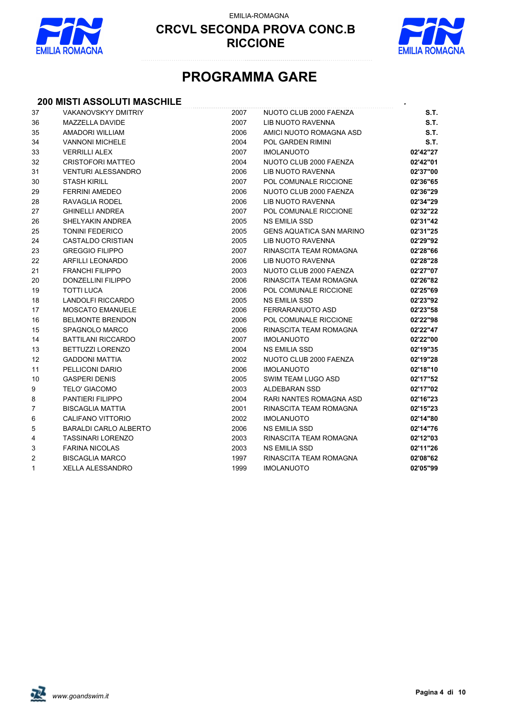



# **PROGRAMMA GARE**

### **200 MISTI ASSOLUTI MASCHILE** *.*

| 37 | <b>VAKANOVSKYY DMITRIY</b>   | 2007 | NUOTO CLUB 2000 FAENZA          | S.T.        |
|----|------------------------------|------|---------------------------------|-------------|
| 36 | MAZZELLA DAVIDE              | 2007 | LIB NUOTO RAVENNA               | <b>S.T.</b> |
| 35 | AMADORI WILLIAM              | 2006 | AMICI NUOTO ROMAGNA ASD         | <b>S.T.</b> |
| 34 | <b>VANNONI MICHELE</b>       | 2004 | POL GARDEN RIMINI               | <b>S.T.</b> |
| 33 | <b>VERRILLI ALEX</b>         | 2007 | <b>IMOLANUOTO</b>               | 02'42"27    |
| 32 | <b>CRISTOFORI MATTEO</b>     | 2004 | NUOTO CLUB 2000 FAENZA          | 02'42"01    |
| 31 | <b>VENTURI ALESSANDRO</b>    | 2006 | <b>LIB NUOTO RAVENNA</b>        | 02'37"00    |
| 30 | <b>STASH KIRILL</b>          | 2007 | POL COMUNALE RICCIONE           | 02'36"65    |
| 29 | <b>FERRINI AMEDEO</b>        | 2006 | NUOTO CLUB 2000 FAENZA          | 02'36"29    |
| 28 | RAVAGLIA RODEL               | 2006 | LIB NUOTO RAVENNA               | 02'34"29    |
| 27 | <b>GHINELLI ANDREA</b>       | 2007 | POL COMUNALE RICCIONE           | 02'32"22    |
| 26 | SHELYAKIN ANDREA             | 2005 | <b>NS EMILIA SSD</b>            | 02'31"42    |
| 25 | <b>TONINI FEDERICO</b>       | 2005 | <b>GENS AQUATICA SAN MARINO</b> | 02'31"25    |
| 24 | <b>CASTALDO CRISTIAN</b>     | 2005 | LIB NUOTO RAVENNA               | 02'29"92    |
| 23 | <b>GREGGIO FILIPPO</b>       | 2007 | RINASCITA TEAM ROMAGNA          | 02'28"66    |
| 22 | <b>ARFILLI LEONARDO</b>      | 2006 | LIB NUOTO RAVENNA               | 02'28"28    |
| 21 | <b>FRANCHI FILIPPO</b>       | 2003 | NUOTO CLUB 2000 FAENZA          | 02'27"07    |
| 20 | DONZELLINI FILIPPO           | 2006 | RINASCITA TEAM ROMAGNA          | 02'26"82    |
| 19 | <b>TOTTI LUCA</b>            | 2006 | POL COMUNALE RICCIONE           | 02'25"69    |
| 18 | LANDOLFI RICCARDO            | 2005 | <b>NS EMILIA SSD</b>            | 02'23"92    |
| 17 | <b>MOSCATO EMANUELE</b>      | 2006 | FERRARANUOTO ASD                | 02'23"58    |
| 16 | <b>BELMONTE BRENDON</b>      | 2006 | POL COMUNALE RICCIONE           | 02'22"98    |
| 15 | SPAGNOLO MARCO               | 2006 | RINASCITA TEAM ROMAGNA          | 02'22"47    |
| 14 | <b>BATTILANI RICCARDO</b>    | 2007 | <b>IMOLANUOTO</b>               | 02'22"00    |
| 13 | <b>BETTUZZI LORENZO</b>      | 2004 | <b>NS EMILIA SSD</b>            | 02'19"35    |
| 12 | <b>GADDONI MATTIA</b>        | 2002 | NUOTO CLUB 2000 FAENZA          | 02'19"28    |
| 11 | PELLICONI DARIO              | 2006 | <b>IMOLANUOTO</b>               | 02'18"10    |
| 10 | <b>GASPERI DENIS</b>         | 2005 | SWIM TEAM LUGO ASD              | 02'17"52    |
| 9  | <b>TELO' GIACOMO</b>         | 2003 | ALDEBARAN SSD                   | 02'17"02    |
| 8  | PANTIERI FILIPPO             | 2004 | RARI NANTES ROMAGNA ASD         | 02'16"23    |
| 7  | <b>BISCAGLIA MATTIA</b>      | 2001 | RINASCITA TEAM ROMAGNA          | 02'15"23    |
| 6  | <b>CALIFANO VITTORIO</b>     | 2002 | <b>IMOLANUOTO</b>               | 02'14"80    |
| 5  | <b>BARALDI CARLO ALBERTO</b> | 2006 | <b>NS EMILIA SSD</b>            | 02'14"76    |
| 4  | <b>TASSINARI LORENZO</b>     | 2003 | RINASCITA TEAM ROMAGNA          | 02'12"03    |
| 3  | <b>FARINA NICOLAS</b>        | 2003 | <b>NS EMILIA SSD</b>            | 02'11"26    |
| 2  | <b>BISCAGLIA MARCO</b>       | 1997 | RINASCITA TEAM ROMAGNA          | 02'08"62    |
| 1  | <b>XELLA ALESSANDRO</b>      | 1999 | <b>IMOLANUOTO</b>               | 02'05"99    |
|    |                              |      |                                 |             |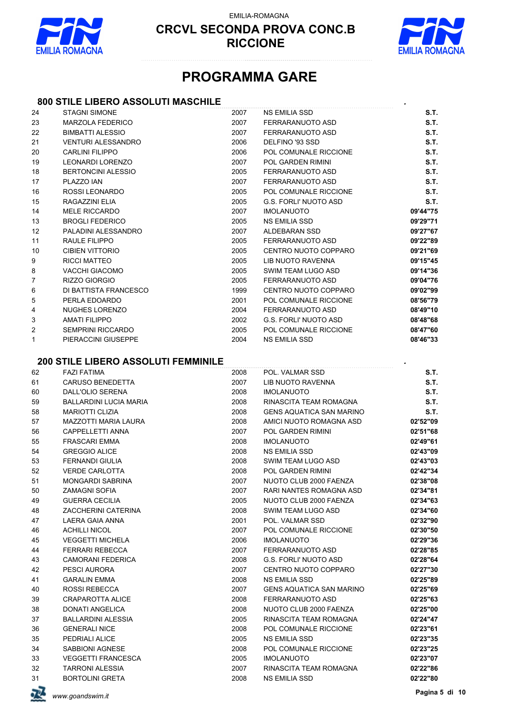

EMILIA-ROMAGNA



### **PROGRAMMA GARE**

### **800 STILE LIBERO ASSOLUTI MASCHILE** *.*

| 24           | <b>STAGNI SIMONE</b>                       | 2007 | <b>NS EMILIA SSD</b>            | S.T.     |
|--------------|--------------------------------------------|------|---------------------------------|----------|
| 23           | <b>MARZOLA FEDERICO</b>                    | 2007 | FERRARANUOTO ASD                | S.T.     |
| 22           | <b>BIMBATTI ALESSIO</b>                    | 2007 | FERRARANUOTO ASD                | S.T.     |
| 21           | <b>VENTURI ALESSANDRO</b>                  | 2006 | DELFINO '93 SSD                 | S.T.     |
| 20           | <b>CARLINI FILIPPO</b>                     | 2006 | POL COMUNALE RICCIONE           | S.T.     |
| 19           | <b>LEONARDI LORENZO</b>                    | 2007 | POL GARDEN RIMINI               | S.T.     |
| 18           | <b>BERTONCINI ALESSIO</b>                  | 2005 | FERRARANUOTO ASD                | S.T.     |
| 17           | PLAZZO IAN                                 | 2007 | FERRARANUOTO ASD                | S.T.     |
| 16           | ROSSI LEONARDO                             | 2005 | POL COMUNALE RICCIONE           | S.T.     |
| 15           | RAGAZZINI ELIA                             | 2005 | <b>G.S. FORLI' NUOTO ASD</b>    | S.T.     |
| 14           | <b>MELE RICCARDO</b>                       | 2007 | <b>IMOLANUOTO</b>               | 09'44"75 |
| 13           | <b>BROGLI FEDERICO</b>                     | 2005 | <b>NS EMILIA SSD</b>            | 09'29"71 |
| 12           | PALADINI ALESSANDRO                        | 2007 | ALDEBARAN SSD                   | 09'27"67 |
| 11           | RAULE FILIPPO                              | 2005 | FERRARANUOTO ASD                | 09'22"89 |
| 10           | <b>CIBIEN VITTORIO</b>                     | 2005 | CENTRO NUOTO COPPARO            | 09'21"69 |
| 9            | <b>RICCI MATTEO</b>                        | 2005 | LIB NUOTO RAVENNA               | 09'15"45 |
| 8            | <b>VACCHI GIACOMO</b>                      | 2005 | SWIM TEAM LUGO ASD              | 09'14"36 |
| 7            | RIZZO GIORGIO                              | 2005 | FERRARANUOTO ASD                | 09'04"76 |
| 6            | DI BATTISTA FRANCESCO                      | 1999 | CENTRO NUOTO COPPARO            | 09'02"99 |
| 5            | PERLA EDOARDO                              | 2001 | POL COMUNALE RICCIONE           | 08'56"79 |
| 4            | <b>NUGHES LORENZO</b>                      | 2004 | FERRARANUOTO ASD                | 08'49"10 |
| 3            | <b>AMATI FILIPPO</b>                       | 2002 | <b>G.S. FORLI' NUOTO ASD</b>    | 08'48"68 |
| 2            | <b>SEMPRINI RICCARDO</b>                   | 2005 | POL COMUNALE RICCIONE           | 08'47"60 |
| $\mathbf{1}$ | PIERACCINI GIUSEPPE                        | 2004 | NS EMILIA SSD                   | 08'46"33 |
|              | <b>200 STILE LIBERO ASSOLUTI FEMMINILE</b> |      |                                 |          |
| 62           | <b>FAZI FATIMA</b>                         | 2008 | POL. VALMAR SSD                 | S.T.     |
| 61           | <b>CARUSO BENEDETTA</b>                    | 2007 | LIB NUOTO RAVENNA               | S.T.     |
| 60           | DALL'OLIO SERENA                           | 2008 | <b>IMOLANUOTO</b>               | S.T.     |
| 59           | BALLARDINI LUCIA MARIA                     | 2008 | RINASCITA TEAM ROMAGNA          | S.T.     |
| 58           | <b>MARIOTTI CLIZIA</b>                     | 2008 | <b>GENS AQUATICA SAN MARINO</b> | S.T.     |
| 57           | MAZZOTTI MARIA LAURA                       | 2008 | AMICI NUOTO ROMAGNA ASD         | 02'52"09 |
| 56           | <b>CAPPELLETTI ANNA</b>                    | 2007 | <b>POL GARDEN RIMINI</b>        | 02'51"68 |
| 55           | <b>FRASCARI EMMA</b>                       | 2008 | <b>IMOLANUOTO</b>               | 02'49"61 |
| 54           | <b>GREGGIO ALICE</b>                       | 2008 | <b>NS EMILIA SSD</b>            | 02'43"09 |
| 53           | <b>FERNANDI GIULIA</b>                     | 2008 | SWIM TEAM LUGO ASD              | 02'43"03 |
| 52           | <b>VERDE CARLOTTA</b>                      | 2008 | POL GARDEN RIMINI               | 02'42"34 |
| 51           | <b>MONGARDI SABRINA</b>                    | 2007 | NUOTO CLUB 2000 FAENZA          | 02'38"08 |
| 50           | <b>ZAMAGNI SOFIA</b>                       | 2007 | RARI NANTES ROMAGNA ASD         | 02'34"81 |
| 49           | <b>GUERRA CECILIA</b>                      | 2005 | NUOTO CLUB 2000 FAENZA          | 02'34"63 |
| 48           | ZACCHERINI CATERINA                        | 2008 | SWIM TEAM LUGO ASD              | 02'34"60 |
| 47           | LAERA GAIA ANNA                            | 2001 | POL. VALMAR SSD                 | 02'32"90 |
| 46           | <b>ACHILLI NICOL</b>                       | 2007 | POL COMUNALE RICCIONE           | 02'30"50 |
| 45           | <b>VEGGETTI MICHELA</b>                    | 2006 | <b>IMOLANUOTO</b>               | 02'29"36 |
| 44           | <b>FERRARI REBECCA</b>                     | 2007 | FERRARANUOTO ASD                | 02'28"85 |
| 43           | <b>CAMORANI FEDERICA</b>                   | 2008 | <b>G.S. FORLI' NUOTO ASD</b>    | 02'28"64 |
| 42           | PESCI AURORA                               | 2007 | CENTRO NUOTO COPPARO            | 02'27"30 |
| 41           | <b>GARALIN EMMA</b>                        | 2008 | <b>NS EMILIA SSD</b>            | 02'25"89 |
| 40           | <b>ROSSI REBECCA</b>                       | 2007 | <b>GENS AQUATICA SAN MARINO</b> | 02'25"69 |
| 39           | <b>CRAPAROTTA ALICE</b>                    | 2008 | FERRARANUOTO ASD                | 02'25"63 |
| 38           | <b>DONATI ANGELICA</b>                     | 2008 | NUOTO CLUB 2000 FAENZA          | 02'25"00 |
| 37           | <b>BALLARDINI ALESSIA</b>                  | 2005 | RINASCITA TEAM ROMAGNA          | 02'24"47 |
| 36           | <b>GENERALI NICE</b>                       | 2008 | POL COMUNALE RICCIONE           | 02'23"61 |
| 35           | PEDRIALI ALICE                             | 2005 | NS EMILIA SSD                   | 02'23"35 |
| 34           | SABBIONI AGNESE                            | 2008 | POL COMUNALE RICCIONE           | 02'23"25 |
| 33           | <b>VEGGETTI FRANCESCA</b>                  | 2005 | <b>IMOLANUOTO</b>               | 02'23"07 |
| 32           | <b>TARRONI ALESSIA</b>                     | 2007 | RINASCITA TEAM ROMAGNA          | 02'22"86 |
| 31           | <b>BORTOLINI GRETA</b>                     | 2008 | <b>NS EMILIA SSD</b>            | 02'22"80 |
|              |                                            |      |                                 |          |

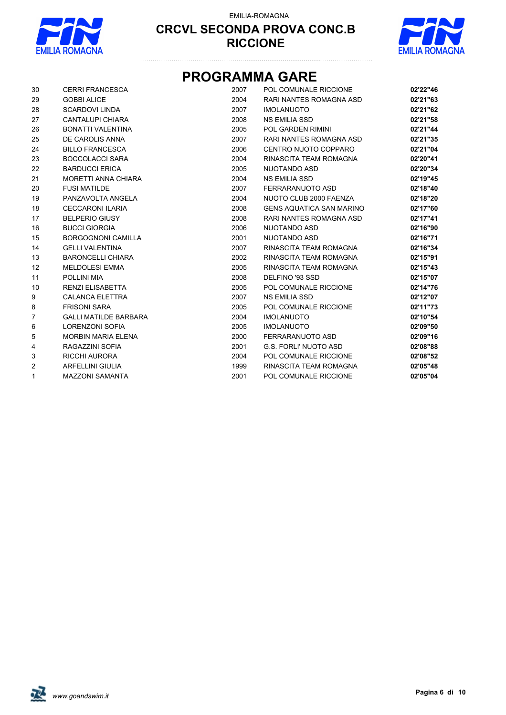



# **PROGRAMMA GARE**

| 30             | <b>CERRI FRANCESCA</b>       | 2007 | POL COMUNALE RICCIONE           | 02'22"46 |
|----------------|------------------------------|------|---------------------------------|----------|
| 29             | <b>GOBBI ALICE</b>           | 2004 | RARI NANTES ROMAGNA ASD         | 02'21"63 |
| 28             | <b>SCARDOVI LINDA</b>        | 2007 | <b>IMOLANUOTO</b>               | 02'21"62 |
| 27             | <b>CANTALUPI CHIARA</b>      | 2008 | <b>NS EMILIA SSD</b>            | 02'21"58 |
| 26             | <b>BONATTI VALENTINA</b>     | 2005 | POL GARDEN RIMINI               | 02'21"44 |
| 25             | DE CAROLIS ANNA              | 2007 | RARI NANTES ROMAGNA ASD         | 02'21"35 |
| 24             | <b>BILLO FRANCESCA</b>       | 2006 | CENTRO NUOTO COPPARO            | 02'21"04 |
| 23             | <b>BOCCOLACCI SARA</b>       | 2004 | RINASCITA TEAM ROMAGNA          | 02'20"41 |
| 22             | <b>BARDUCCI ERICA</b>        | 2005 | NUOTANDO ASD                    | 02'20"34 |
| 21             | MORETTI ANNA CHIARA          | 2004 | <b>NS EMILIA SSD</b>            | 02'19"45 |
| 20             | <b>FUSI MATILDE</b>          | 2007 | FERRARANUOTO ASD                | 02'18"40 |
| 19             | PANZAVOLTA ANGELA            | 2004 | NUOTO CLUB 2000 FAENZA          | 02'18"20 |
| 18             | <b>CECCARONI ILARIA</b>      | 2008 | <b>GENS AQUATICA SAN MARINO</b> | 02'17"60 |
| 17             | <b>BELPERIO GIUSY</b>        | 2008 | RARI NANTES ROMAGNA ASD         | 02'17"41 |
| 16             | <b>BUCCI GIORGIA</b>         | 2006 | NUOTANDO ASD                    | 02'16"90 |
| 15             | <b>BORGOGNONI CAMILLA</b>    | 2001 | NUOTANDO ASD                    | 02'16"71 |
| 14             | <b>GELLI VALENTINA</b>       | 2007 | RINASCITA TEAM ROMAGNA          | 02'16"34 |
| 13             | <b>BARONCELLI CHIARA</b>     | 2002 | RINASCITA TEAM ROMAGNA          | 02'15"91 |
| 12             | <b>MELDOLESI EMMA</b>        | 2005 | RINASCITA TEAM ROMAGNA          | 02'15"43 |
| 11             | POLLINI MIA                  | 2008 | DELFINO '93 SSD                 | 02'15"07 |
| 10             | <b>RENZI ELISABETTA</b>      | 2005 | POL COMUNALE RICCIONE           | 02'14"76 |
| 9              | <b>CALANCA ELETTRA</b>       | 2007 | <b>NS EMILIA SSD</b>            | 02'12"07 |
| 8              | <b>FRISONI SARA</b>          | 2005 | POL COMUNALE RICCIONE           | 02'11"73 |
| $\overline{7}$ | <b>GALLI MATILDE BARBARA</b> | 2004 | <b>IMOLANUOTO</b>               | 02'10"54 |
| 6              | <b>LORENZONI SOFIA</b>       | 2005 | <b>IMOLANUOTO</b>               | 02'09"50 |
| 5              | <b>MORBIN MARIA ELENA</b>    | 2000 | FERRARANUOTO ASD                | 02'09"16 |
| 4              | RAGAZZINI SOFIA              | 2001 | G.S. FORLI' NUOTO ASD           | 02'08"88 |
| 3              | <b>RICCHI AURORA</b>         | 2004 | POL COMUNALE RICCIONE           | 02'08"52 |
| $\overline{2}$ | <b>ARFELLINI GIULIA</b>      | 1999 | RINASCITA TEAM ROMAGNA          | 02'05"48 |
| $\mathbf{1}$   | <b>MAZZONI SAMANTA</b>       | 2001 | POL COMUNALE RICCIONE           | 02'05"04 |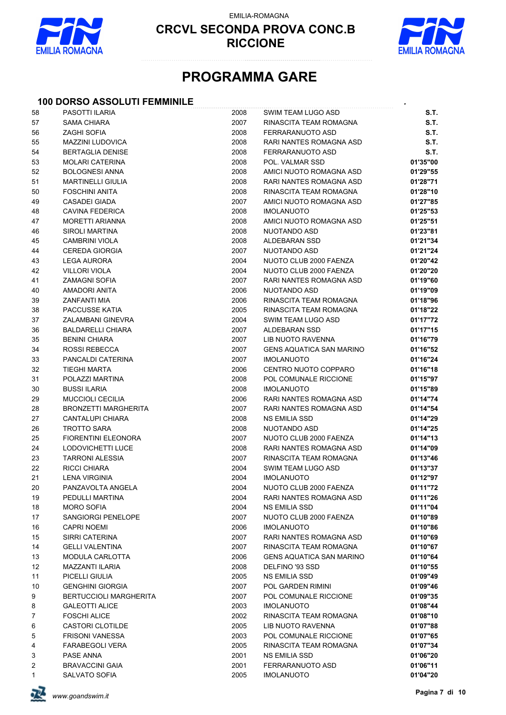

EMILIA-ROMAGNA



# **PROGRAMMA GARE**

#### **100 DORSO ASSOLUTI FEMMINILE** *.*

| 58             | PASOTTI ILARIA                               | 2008         | SWIM TEAM LUGO ASD                          | S.T.                 |
|----------------|----------------------------------------------|--------------|---------------------------------------------|----------------------|
| 57             | <b>SAMA CHIARA</b>                           | 2007         | RINASCITA TEAM ROMAGNA                      | S.T.                 |
| 56             | <b>ZAGHI SOFIA</b>                           | 2008         | <b>FERRARANUOTO ASD</b>                     | S.T.                 |
| 55             | <b>MAZZINI LUDOVICA</b>                      | 2008         | RARI NANTES ROMAGNA ASD                     | S.T.                 |
| 54             | <b>BERTAGLIA DENISE</b>                      | 2008         | FERRARANUOTO ASD                            | S.T.                 |
| 53             | <b>MOLARI CATERINA</b>                       | 2008         | POL. VALMAR SSD                             | 01'35"00             |
| 52             | <b>BOLOGNESI ANNA</b>                        | 2008         | AMICI NUOTO ROMAGNA ASD                     | 01'29"55             |
| 51             | <b>MARTINELLI GIULIA</b>                     | 2008         | RARI NANTES ROMAGNA ASD                     | 01'28"71             |
| 50             | <b>FOSCHINI ANITA</b>                        | 2008         | RINASCITA TEAM ROMAGNA                      | 01'28"10             |
| 49             | <b>CASADEI GIADA</b>                         | 2007         | AMICI NUOTO ROMAGNA ASD                     | 01'27"85             |
| 48             | CAVINA FEDERICA                              | 2008         | <b>IMOLANUOTO</b>                           | 01'25"53             |
| 47             | <b>MORETTI ARIANNA</b>                       | 2008         | AMICI NUOTO ROMAGNA ASD                     | 01'25"51             |
| 46             | <b>SIROLI MARTINA</b>                        | 2008         | NUOTANDO ASD                                | 01'23"81             |
| 45             | <b>CAMBRINI VIOLA</b>                        | 2008         | ALDEBARAN SSD                               | 01'21"34             |
| 44             | <b>CEREDA GIORGIA</b>                        | 2007         | NUOTANDO ASD                                | 01'21"24             |
| 43             | <b>LEGA AURORA</b>                           | 2004         | NUOTO CLUB 2000 FAENZA                      | 01'20"42             |
| 42             | <b>VILLORI VIOLA</b>                         | 2004         | NUOTO CLUB 2000 FAENZA                      | 01'20"20             |
| 41             | <b>ZAMAGNI SOFIA</b>                         | 2007         | RARI NANTES ROMAGNA ASD                     | 01'19"60             |
| 40             | AMADORI ANITA                                | 2006         | NUOTANDO ASD                                | 01'19"09             |
| 39             | <b>ZANFANTI MIA</b>                          | 2006         | RINASCITA TEAM ROMAGNA                      | 01'18"96             |
| 38             | PACCUSSE KATIA                               | 2005         | RINASCITA TEAM ROMAGNA                      | 01'18"22             |
| 37             | ZALAMBANI GINEVRA                            | 2004         | SWIM TEAM LUGO ASD                          | 01'17"72             |
| 36             | <b>BALDARELLI CHIARA</b>                     | 2007         | <b>ALDEBARAN SSD</b>                        | 01'17"15             |
| 35             | <b>BENINI CHIARA</b>                         | 2007         | LIB NUOTO RAVENNA                           | 01'16"79             |
| 34             | <b>ROSSI REBECCA</b>                         | 2007         | <b>GENS AQUATICA SAN MARINO</b>             | 01'16"52             |
| 33             | PANCALDI CATERINA                            | 2007         | <b>IMOLANUOTO</b>                           | 01'16"24             |
| 32             | <b>TIEGHI MARTA</b>                          | 2006         | CENTRO NUOTO COPPARO                        | 01'16"18             |
| 31             | POLAZZI MARTINA                              | 2008         | POL COMUNALE RICCIONE                       | 01'15"97             |
| 30             | <b>BUSSI ILARIA</b>                          | 2008         | <b>IMOLANUOTO</b>                           | 01'15"89             |
| 29             | <b>MUCCIOLI CECILIA</b>                      | 2006         | RARI NANTES ROMAGNA ASD                     | 01'14"74             |
| 28             | <b>BRONZETTI MARGHERITA</b>                  | 2007         | RARI NANTES ROMAGNA ASD                     | 01'14"54             |
| 27             | <b>CANTALUPI CHIARA</b>                      | 2008         | NS EMILIA SSD                               | 01'14"29             |
| 26             | <b>TROTTO SARA</b>                           | 2008         | NUOTANDO ASD                                | 01'14"25             |
| 25             | <b>FIORENTINI ELEONORA</b>                   | 2007         | NUOTO CLUB 2000 FAENZA                      | 01'14"13             |
| 24             | LODOVICHETTI LUCE                            | 2008         | RARI NANTES ROMAGNA ASD                     | 01'14"09             |
| 23             | <b>TARRONI ALESSIA</b>                       | 2007         | RINASCITA TEAM ROMAGNA                      | 01'13"46             |
| 22             | <b>RICCI CHIARA</b>                          | 2004         | SWIM TEAM LUGO ASD                          | 01'13"37             |
| 21             | <b>LENA VIRGINIA</b>                         | 2004         | <b>IMOLANUOTO</b>                           | 01'12"97             |
| 20             | PANZAVOLTA ANGELA                            | 2004         | NUOTO CLUB 2000 FAENZA                      | 01'11"72             |
| 19             | PEDULLI MARTINA                              | 2004         | RARI NANTES ROMAGNA ASD                     | 01'11"26             |
| 18             | <b>MORO SOFIA</b>                            | 2004         | NS EMILIA SSD                               | 01'11"04             |
| 17             | SANGIORGI PENELOPE                           | 2007         | NUOTO CLUB 2000 FAENZA                      | 01'10"89             |
| 16             | <b>CAPRI NOEMI</b>                           | 2006         | <b>IMOLANUOTO</b>                           | 01'10"86             |
| 15             | SIRRI CATERINA                               | 2007         | RARI NANTES ROMAGNA ASD                     | 01'10"69             |
| 14             | <b>GELLI VALENTINA</b>                       | 2007         | RINASCITA TEAM ROMAGNA                      | 01'10"67             |
| 13             | <b>MODULA CARLOTTA</b>                       | 2006         | <b>GENS AQUATICA SAN MARINO</b>             | 01'10"64             |
| 12             | <b>MAZZANTI ILARIA</b>                       | 2008         | DELFINO '93 SSD                             | 01'10"55             |
| 11             | PICELLI GIULIA                               | 2005         | NS EMILIA SSD                               | 01'09"49             |
| 10             | <b>GENGHINI GIORGIA</b>                      | 2007         | POL GARDEN RIMINI                           | 01'09"46             |
| 9              | <b>BERTUCCIOLI MARGHERITA</b>                | 2007<br>2003 | POL COMUNALE RICCIONE                       | 01'09"35<br>01'08"44 |
| 8<br>7         | <b>GALEOTTI ALICE</b><br><b>FOSCHI ALICE</b> | 2002         | <b>IMOLANUOTO</b><br>RINASCITA TEAM ROMAGNA | 01'08"10             |
|                | <b>CASTORI CLOTILDE</b>                      | 2005         | LIB NUOTO RAVENNA                           | 01'07"88             |
| 6<br>5         | <b>FRISONI VANESSA</b>                       | 2003         | POL COMUNALE RICCIONE                       | 01'07"65             |
| 4              | <b>FARABEGOLI VERA</b>                       | 2005         | RINASCITA TEAM ROMAGNA                      | 01'07"34             |
| 3              | PASE ANNA                                    | 2001         | NS EMILIA SSD                               | 01'06"20             |
| $\overline{c}$ | <b>BRAVACCINI GAIA</b>                       | 2001         | FERRARANUOTO ASD                            | 01'06"11             |
| 1              | SALVATO SOFIA                                | 2005         | <b>IMOLANUOTO</b>                           | 01'04"20             |
|                |                                              |              |                                             |                      |

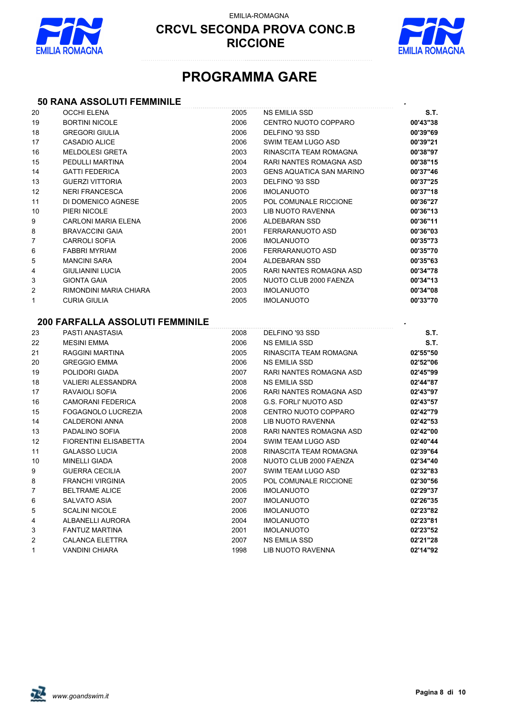



# **PROGRAMMA GARE**

### **50 RANA ASSOLUTI FEMMINILE** *.*

| 20             | <b>OCCHI ELENA</b>                     | 2005 | <b>NS EMILIA SSD</b>            | S.T.     |
|----------------|----------------------------------------|------|---------------------------------|----------|
| 19             | <b>BORTINI NICOLE</b>                  | 2006 | CENTRO NUOTO COPPARO            | 00'43"38 |
| 18             | <b>GREGORI GIULIA</b>                  | 2006 | DELFINO '93 SSD                 | 00'39"69 |
| 17             | <b>CASADIO ALICE</b>                   | 2006 | SWIM TEAM LUGO ASD              | 00'39"21 |
| 16             | <b>MELDOLESI GRETA</b>                 | 2003 | RINASCITA TEAM ROMAGNA          | 00'38"97 |
| 15             | PEDULLI MARTINA                        | 2004 | RARI NANTES ROMAGNA ASD         | 00'38"15 |
| 14             | <b>GATTI FEDERICA</b>                  | 2003 | <b>GENS AQUATICA SAN MARINO</b> | 00'37"46 |
| 13             | <b>GUERZI VITTORIA</b>                 | 2003 | DELFINO '93 SSD                 | 00'37"25 |
| 12             | <b>NERI FRANCESCA</b>                  | 2006 | <b>IMOLANUOTO</b>               | 00'37"18 |
| 11             | DI DOMENICO AGNESE                     | 2005 | POL COMUNALE RICCIONE           | 00'36"27 |
| 10             | PIERI NICOLE                           | 2003 | LIB NUOTO RAVENNA               | 00'36"13 |
| 9              | <b>CARLONI MARIA ELENA</b>             | 2006 | ALDEBARAN SSD                   | 00'36"11 |
| 8              | <b>BRAVACCINI GAIA</b>                 | 2001 | FERRARANUOTO ASD                | 00'36"03 |
| 7              | <b>CARROLI SOFIA</b>                   | 2006 | <b>IMOLANUOTO</b>               | 00'35"73 |
| 6              | <b>FABBRI MYRIAM</b>                   | 2006 | FERRARANUOTO ASD                | 00'35"70 |
| 5              | <b>MANCINI SARA</b>                    | 2004 | ALDEBARAN SSD                   | 00'35"63 |
| 4              | <b>GIULIANINI LUCIA</b>                | 2005 | RARI NANTES ROMAGNA ASD         | 00'34"78 |
| 3              | <b>GIONTA GAIA</b>                     | 2005 | NUOTO CLUB 2000 FAENZA          | 00'34"13 |
| 2              | RIMONDINI MARIA CHIARA                 | 2003 | <b>IMOLANUOTO</b>               | 00'34"08 |
| 1              | <b>CURIA GIULIA</b>                    | 2005 | <b>IMOLANUOTO</b>               | 00'33"70 |
|                | <b>200 FARFALLA ASSOLUTI FEMMINILE</b> |      |                                 |          |
| 23             | PASTI ANASTASIA                        | 2008 | DELFINO '93 SSD                 | S.T.     |
| 22             | <b>MESINI EMMA</b>                     | 2006 | <b>NS EMILIA SSD</b>            | S.T.     |
| 21             | RAGGINI MARTINA                        | 2005 | RINASCITA TEAM ROMAGNA          | 02'55"50 |
| 20             | <b>GREGGIO EMMA</b>                    | 2006 | <b>NS EMILIA SSD</b>            | 02'52"06 |
| 19             | POLIDORI GIADA                         | 2007 | RARI NANTES ROMAGNA ASD         | 02'45"99 |
| 18             | <b>VALIERI ALESSANDRA</b>              | 2008 | <b>NS EMILIA SSD</b>            | 02'44"87 |
| 17             | RAVAIOLI SOFIA                         | 2006 | RARI NANTES ROMAGNA ASD         | 02'43"97 |
| 16             | <b>CAMORANI FEDERICA</b>               | 2008 | <b>G.S. FORLI' NUOTO ASD</b>    | 02'43"57 |
| 15             | FOGAGNOLO LUCREZIA                     | 2008 | CENTRO NUOTO COPPARO            | 02'42"79 |
| 14             | <b>CALDERONI ANNA</b>                  | 2008 | LIB NUOTO RAVENNA               | 02'42"53 |
| 13             | PADALINO SOFIA                         | 2008 | RARI NANTES ROMAGNA ASD         | 02'42"00 |
| 12             | <b>FIORENTINI ELISABETTA</b>           | 2004 | SWIM TEAM LUGO ASD              | 02'40"44 |
| 11             | <b>GALASSO LUCIA</b>                   | 2008 | RINASCITA TEAM ROMAGNA          | 02'39"64 |
| 10             | <b>MINELLI GIADA</b>                   | 2008 | NUOTO CLUB 2000 FAENZA          | 02'34"40 |
| 9              | <b>GUERRA CECILIA</b>                  | 2007 | SWIM TEAM LUGO ASD              | 02'32"83 |
| 8              | <b>FRANCHI VIRGINIA</b>                | 2005 | POL COMUNALE RICCIONE           | 02'30"56 |
| $\overline{7}$ | <b>BELTRAME ALICE</b>                  | 2006 | IMOLANUOTO                      | 02'29"37 |
| 6              | SALVATO ASIA                           | 2007 | <b>IMOLANUOTO</b>               | 02'26"35 |
| 5              | <b>SCALINI NICOLE</b>                  | 2006 | <b>IMOLANUOTO</b>               | 02'23"82 |
| 4              | ALBANELLI AURORA                       | 2004 | <b>IMOLANUOTO</b>               | 02'23"81 |
| 3              | <b>FANTUZ MARTINA</b>                  | 2001 | <b>IMOLANUOTO</b>               | 02'23"52 |
| 2              | <b>CALANCA ELETTRA</b>                 | 2007 | <b>NS EMILIA SSD</b>            | 02'21"28 |
| 1              | <b>VANDINI CHIARA</b>                  | 1998 | LIB NUOTO RAVENNA               | 02'14"92 |
|                |                                        |      |                                 |          |

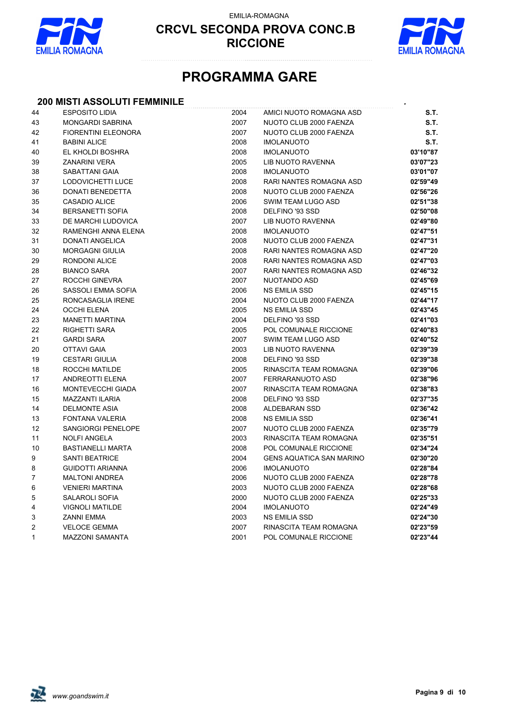

EMILIA-ROMAGNA



# **PROGRAMMA GARE**

### **200 MISTI ASSOLUTI FEMMINILE** *.*

| 44           | <b>ESPOSITO LIDIA</b>      | 2004 | AMICI NUOTO ROMAGNA ASD         | S.T.     |
|--------------|----------------------------|------|---------------------------------|----------|
| 43           | <b>MONGARDI SABRINA</b>    | 2007 | NUOTO CLUB 2000 FAENZA          | S.T.     |
| 42           | <b>FIORENTINI ELEONORA</b> | 2007 | NUOTO CLUB 2000 FAENZA          | S.T.     |
| 41           | <b>BABINI ALICE</b>        | 2008 | <b>IMOLANUOTO</b>               | S.T.     |
| 40           | EL KHOLDI BOSHRA           | 2008 | <b>IMOLANUOTO</b>               | 03'10"87 |
| 39           | <b>ZANARINI VERA</b>       | 2005 | LIB NUOTO RAVENNA               | 03'07"23 |
| 38           | <b>SABATTANI GAIA</b>      | 2008 | <b>IMOLANUOTO</b>               | 03'01"07 |
| 37           | LODOVICHETTI LUCE          | 2008 | RARI NANTES ROMAGNA ASD         | 02'59"49 |
| 36           | DONATI BENEDETTA           | 2008 | NUOTO CLUB 2000 FAENZA          | 02'56"26 |
| 35           | CASADIO ALICE              | 2006 | SWIM TEAM LUGO ASD              | 02'51"38 |
| 34           | <b>BERSANETTI SOFIA</b>    | 2008 | DELFINO '93 SSD                 | 02'50"08 |
| 33           | DE MARCHI LUDOVICA         | 2007 | LIB NUOTO RAVENNA               | 02'49"80 |
| 32           | RAMENGHI ANNA ELENA        | 2008 | <b>IMOLANUOTO</b>               | 02'47"51 |
| 31           | <b>DONATI ANGELICA</b>     | 2008 | NUOTO CLUB 2000 FAENZA          | 02'47"31 |
| 30           | <b>MORGAGNI GIULIA</b>     | 2008 | RARI NANTES ROMAGNA ASD         | 02'47"20 |
| 29           | RONDONI ALICE              | 2008 | RARI NANTES ROMAGNA ASD         | 02'47"03 |
| 28           | <b>BIANCO SARA</b>         | 2007 | RARI NANTES ROMAGNA ASD         | 02'46"32 |
| 27           | ROCCHI GINEVRA             | 2007 | NUOTANDO ASD                    | 02'45"69 |
| 26           | SASSOLI EMMA SOFIA         | 2006 | NS EMILIA SSD                   | 02'45"15 |
| 25           | RONCASAGLIA IRENE          | 2004 | NUOTO CLUB 2000 FAENZA          | 02'44"17 |
| 24           | <b>OCCHI ELENA</b>         | 2005 | <b>NS EMILIA SSD</b>            | 02'43"45 |
| 23           | <b>MANETTI MARTINA</b>     | 2004 | DELFINO '93 SSD                 | 02'41"03 |
| 22           | <b>RIGHETTI SARA</b>       | 2005 | POL COMUNALE RICCIONE           | 02'40"83 |
| 21           | <b>GARDI SARA</b>          | 2007 | SWIM TEAM LUGO ASD              | 02'40"52 |
| 20           | <b>OTTAVI GAIA</b>         | 2003 | LIB NUOTO RAVENNA               | 02'39"39 |
| 19           | <b>CESTARI GIULIA</b>      | 2008 | DELFINO '93 SSD                 | 02'39"38 |
| 18           | ROCCHI MATILDE             | 2005 | RINASCITA TEAM ROMAGNA          | 02'39"06 |
| 17           | ANDREOTTI ELENA            | 2007 | FERRARANUOTO ASD                | 02'38"96 |
| 16           | MONTEVECCHI GIADA          | 2007 | RINASCITA TEAM ROMAGNA          | 02'38"83 |
| 15           | <b>MAZZANTI ILARIA</b>     | 2008 | DELFINO '93 SSD                 | 02'37"35 |
| 14           | <b>DELMONTE ASIA</b>       | 2008 | ALDEBARAN SSD                   | 02'36"42 |
| 13           | FONTANA VALERIA            | 2008 | <b>NS EMILIA SSD</b>            | 02'36"41 |
| 12           | SANGIORGI PENELOPE         | 2007 | NUOTO CLUB 2000 FAENZA          | 02'35"79 |
| 11           | <b>NOLFI ANGELA</b>        | 2003 | RINASCITA TEAM ROMAGNA          | 02'35"51 |
| 10           | <b>BASTIANELLI MARTA</b>   | 2008 | POL COMUNALE RICCIONE           | 02'34"24 |
| 9            | <b>SANTI BEATRICE</b>      | 2004 | <b>GENS AQUATICA SAN MARINO</b> | 02'30"20 |
| 8            | <b>GUIDOTTI ARIANNA</b>    | 2006 | <b>IMOLANUOTO</b>               | 02'28"84 |
| 7            | <b>MALTONI ANDREA</b>      | 2006 | NUOTO CLUB 2000 FAENZA          | 02'28"78 |
| 6            | <b>VENIERI MARTINA</b>     | 2003 | NUOTO CLUB 2000 FAENZA          | 02'28"68 |
| 5            | SALAROLI SOFIA             | 2000 | NUOTO CLUB 2000 FAENZA          | 02'25"33 |
| 4            | <b>VIGNOLI MATILDE</b>     | 2004 | <b>IMOLANUOTO</b>               | 02'24"49 |
| 3            | <b>ZANNI EMMA</b>          | 2003 | <b>NS EMILIA SSD</b>            | 02'24"30 |
| 2            | <b>VELOCE GEMMA</b>        | 2007 | RINASCITA TEAM ROMAGNA          | 02'23"59 |
| $\mathbf{1}$ | <b>MAZZONI SAMANTA</b>     | 2001 | POL COMUNALE RICCIONE           | 02'23"44 |